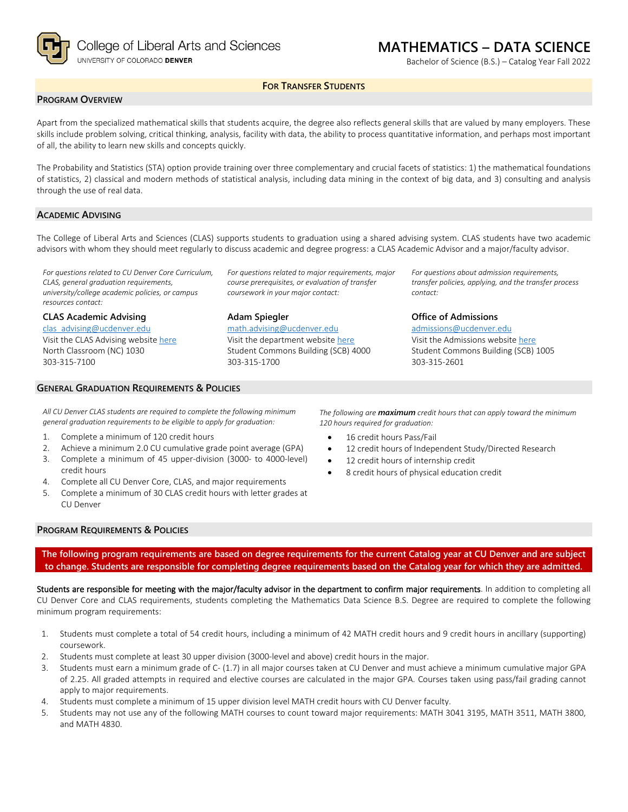

# **MATHEMATICS – DATA SCIENCE**

Bachelor of Science (B.S.) – Catalog Year Fall 2022

# **FOR TRANSFER STUDENTS**

# **PROGRAM OVERVIEW**

Apart from the specialized mathematical skills that students acquire, the degree also reflects general skills that are valued by many employers. These skills include problem solving, critical thinking, analysis, facility with data, the ability to process quantitative information, and perhaps most important of all, the ability to learn new skills and concepts quickly.

The Probability and Statistics (STA) option provide training over three complementary and crucial facets of statistics: 1) the mathematical foundations of statistics, 2) classical and modern methods of statistical analysis, including data mining in the context of big data, and 3) consulting and analysis through the use of real data.

# **ACADEMIC ADVISING**

The College of Liberal Arts and Sciences (CLAS) supports students to graduation using a shared advising system. CLAS students have two academic advisors with whom they should meet regularly to discuss academic and degree progress: a CLAS Academic Advisor and a major/faculty advisor.

*For questions related to CU Denver Core Curriculum, CLAS, general graduation requirements, university/college academic policies, or campus resources contact:*

**CLAS Academic Advising**

[clas\\_advising@ucdenver.edu](mailto:clas_advising@ucdenver.edu) Visit the CLAS Advising websit[e here](https://clas.ucdenver.edu/advising/) North Classroom (NC) 1030 303-315-7100

*For questions related to major requirements, major course prerequisites, or evaluation of transfer coursework in your major contact:*

### **Adam Spiegler**

[math.advising@ucdenver.edu](mailto:math.advising@ucdenver.edu) Visit the department website [here](https://clas.ucdenver.edu/mathematical-and-statistical-sciences/) Student Commons Building (SCB) 4000 303-315-1700

*For questions about admission requirements, transfer policies, applying, and the transfer process contact:*

### **Office of Admissions**

[admissions@ucdenver.edu](mailto:admissions@ucdenver.edu) Visit the Admissions website [here](http://www.ucdenver.edu/admissions/Pages/index.aspx) Student Commons Building (SCB) 1005 303-315-2601

### **GENERAL GRADUATION REQUIREMENTS & POLICIES**

*All CU Denver CLAS students are required to complete the following minimum general graduation requirements to be eligible to apply for graduation:*

- 1. Complete a minimum of 120 credit hours
- 2. Achieve a minimum 2.0 CU cumulative grade point average (GPA)
- 3. Complete a minimum of 45 upper-division (3000- to 4000-level) credit hours
- 4. Complete all CU Denver Core, CLAS, and major requirements
- 5. Complete a minimum of 30 CLAS credit hours with letter grades at CU Denver

*The following are maximum credit hours that can apply toward the minimum 120 hours required for graduation:*

- 16 credit hours Pass/Fail
- 12 credit hours of Independent Study/Directed Research
- 12 credit hours of internship credit
- 8 credit hours of physical education credit

# **PROGRAM REQUIREMENTS & POLICIES**

**The following program requirements are based on degree requirements for the current Catalog year at CU Denver and are subject to change. Students are responsible for completing degree requirements based on the Catalog year for which they are admitted.**

Students are responsible for meeting with the major/faculty advisor in the department to confirm major requirements. In addition to completing all CU Denver Core and CLAS requirements, students completing the Mathematics Data Science B.S. Degree are required to complete the following minimum program requirements:

- 1. Students must complete a total of 54 credit hours, including a minimum of 42 MATH credit hours and 9 credit hours in ancillary (supporting) coursework.
- 2. Students must complete at least 30 upper division (3000-level and above) credit hours in the major.
- 3. Students must earn a minimum grade of C- (1.7) in all major courses taken at CU Denver and must achieve a minimum cumulative major GPA of 2.25. All graded attempts in required and elective courses are calculated in the major GPA. Courses taken using pass/fail grading cannot apply to major requirements.
- 4. Students must complete a minimum of 15 upper division level MATH credit hours with CU Denver faculty.
- 5. Students may not use any of the following MATH courses to count toward major requirements: MATH 3041 3195, MATH 3511, MATH 3800, and MATH 4830.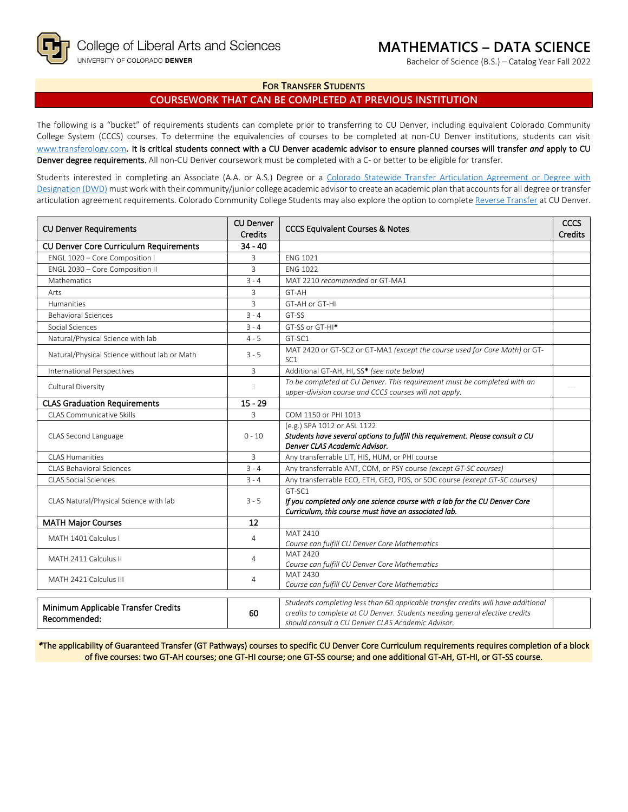

Bachelor of Science (B.S.) – Catalog Year Fall 2022

## **FOR TRANSFER STUDENTS**

# **COURSEWORK THAT CAN BE COMPLETED AT PREVIOUS INSTITUTION**

The following is a "bucket" of requirements students can complete prior to transferring to CU Denver, including equivalent Colorado Community College System (CCCS) courses. To determine the equivalencies of courses to be completed at non-CU Denver institutions, students can visit [www.transferology.com](http://www.transferology.com/)**.** It is critical students connect with a CU Denver academic advisor to ensure planned courses will transfer *and* apply to CU Denver degree requirements. All non-CU Denver coursework must be completed with a C- or better to be eligible for transfer.

Students interested in completing an Associate (A.A. or A.S.) Degree or a Colorado Statewide Transfer Articulation Agreement or Degree with [Designation \(DWD\)](https://highered.colorado.gov/transfer-degrees) must work with their community/junior college academic advisor to create an academic plan that accounts for all degree or transfer articulation agreement requirements. Colorado Community College Students may also explore the option to complet[e Reverse Transfer](https://highered.colorado.gov/students/attending-college/colorado-reverse-transfer) at CU Denver.

| <b>CU Denver</b><br><b>CU Denver Requirements</b><br><b>Credits</b> |                                                                | <b>CCCS Equivalent Courses &amp; Notes</b>                                                                                                                                                                            | CCCS<br><b>Credits</b> |
|---------------------------------------------------------------------|----------------------------------------------------------------|-----------------------------------------------------------------------------------------------------------------------------------------------------------------------------------------------------------------------|------------------------|
| $34 - 40$<br><b>CU Denver Core Curriculum Requirements</b>          |                                                                |                                                                                                                                                                                                                       |                        |
| ENGL 1020 - Core Composition I                                      | 3                                                              | <b>ENG 1021</b>                                                                                                                                                                                                       |                        |
| ENGL 2030 - Core Composition II                                     | 3                                                              | <b>ENG 1022</b>                                                                                                                                                                                                       |                        |
| <b>Mathematics</b>                                                  | $3 - 4$                                                        | MAT 2210 recommended or GT-MA1                                                                                                                                                                                        |                        |
| Arts                                                                | 3                                                              | GT-AH                                                                                                                                                                                                                 |                        |
| Humanities                                                          | 3                                                              | GT-AH or GT-HI                                                                                                                                                                                                        |                        |
| <b>Behavioral Sciences</b>                                          | $3 - 4$                                                        | GT-SS                                                                                                                                                                                                                 |                        |
| Social Sciences                                                     | $3 - 4$                                                        | GT-SS or GT-HI*                                                                                                                                                                                                       |                        |
| Natural/Physical Science with lab                                   | $4 - 5$                                                        | GT-SC1                                                                                                                                                                                                                |                        |
| Natural/Physical Science without lab or Math                        | $3 - 5$                                                        | MAT 2420 or GT-SC2 or GT-MA1 (except the course used for Core Math) or GT-<br>SC <sub>1</sub>                                                                                                                         |                        |
| International Perspectives                                          | 3                                                              | Additional GT-AH, HI, SS* (see note below)                                                                                                                                                                            |                        |
| Cultural Diversity                                                  |                                                                | To be completed at CU Denver. This requirement must be completed with an<br>upper-division course and CCCS courses will not apply.                                                                                    |                        |
| $15 - 29$<br><b>CLAS Graduation Requirements</b>                    |                                                                |                                                                                                                                                                                                                       |                        |
| <b>CLAS Communicative Skills</b>                                    |                                                                | COM 1150 or PHI 1013                                                                                                                                                                                                  |                        |
| CLAS Second Language<br>$0 - 10$                                    |                                                                | (e.g.) SPA 1012 or ASL 1122<br>Students have several options to fulfill this requirement. Please consult a CU<br>Denver CLAS Academic Advisor.                                                                        |                        |
| <b>CLAS Humanities</b><br>3                                         |                                                                | Any transferrable LIT, HIS, HUM, or PHI course                                                                                                                                                                        |                        |
| CLAS Behavioral Sciences<br>$3 - 4$                                 |                                                                | Any transferrable ANT, COM, or PSY course (except GT-SC courses)                                                                                                                                                      |                        |
| <b>CLAS Social Sciences</b><br>$3 - 4$                              |                                                                | Any transferrable ECO, ETH, GEO, POS, or SOC course (except GT-SC courses)                                                                                                                                            |                        |
| CLAS Natural/Physical Science with lab<br>$3 - 5$                   |                                                                | GT-SC1<br>If you completed only one science course with a lab for the CU Denver Core<br>Curriculum, this course must have an associated lab.                                                                          |                        |
| <b>MATH Major Courses</b>                                           | 12                                                             |                                                                                                                                                                                                                       |                        |
| MATH 1401 Calculus I                                                | MAT 2410<br>4<br>Course can fulfill CU Denver Core Mathematics |                                                                                                                                                                                                                       |                        |
| MATH 2411 Calculus II                                               | 4                                                              | MAT 2420<br>Course can fulfill CU Denver Core Mathematics                                                                                                                                                             |                        |
| MATH 2421 Calculus III<br>4                                         |                                                                | MAT 2430<br>Course can fulfill CU Denver Core Mathematics                                                                                                                                                             |                        |
| Minimum Applicable Transfer Credits<br>60<br>Recommended:           |                                                                | Students completing less than 60 applicable transfer credits will have additional<br>credits to complete at CU Denver. Students needing general elective credits<br>should consult a CU Denver CLAS Academic Advisor. |                        |

*\**The applicability of Guaranteed Transfer (GT Pathways) courses to specific CU Denver Core Curriculum requirements requires completion of a block of five courses: two GT-AH courses; one GT-HI course; one GT-SS course; and one additional GT-AH, GT-HI, or GT-SS course.